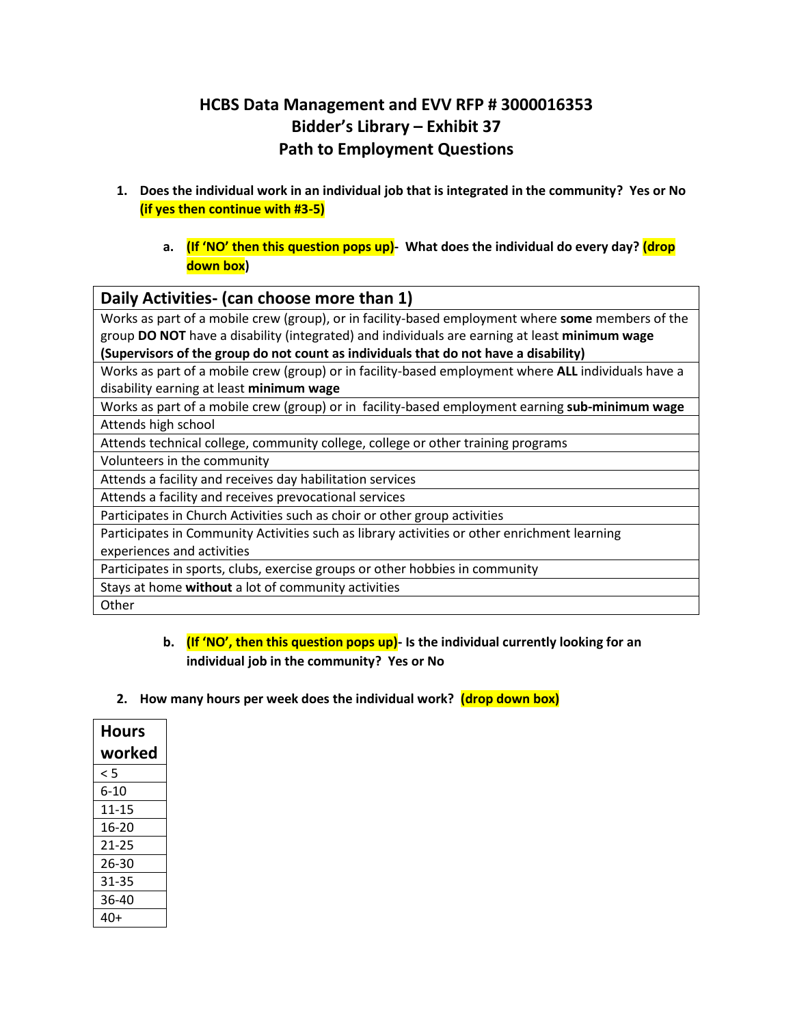## **HCBS Data Management and EVV RFP # 3000016353 Bidder's Library – Exhibit 37 Path to Employment Questions**

- **1. Does the individual work in an individual job that is integrated in the community? Yes or No (if yes then continue with #3-5)**
	- **a. (If 'NO' then this question pops up)- What does the individual do every day? (drop down box)**

## **Daily Activities- (can choose more than 1)**

Works as part of a mobile crew (group), or in facility-based employment where **some** members of the group **DO NOT** have a disability (integrated) and individuals are earning at least **minimum wage (Supervisors of the group do not count as individuals that do not have a disability)**

Works as part of a mobile crew (group) or in facility-based employment where **ALL** individuals have a disability earning at least **minimum wage**

Works as part of a mobile crew (group) or in facility-based employment earning **sub-minimum wage** Attends high school

Attends technical college, community college, college or other training programs

Volunteers in the community

Attends a facility and receives day habilitation services

Attends a facility and receives prevocational services

Participates in Church Activities such as choir or other group activities

Participates in Community Activities such as library activities or other enrichment learning experiences and activities

Participates in sports, clubs, exercise groups or other hobbies in community

Stays at home **without** a lot of community activities

**Other** 

## **b. (If 'NO', then this question pops up)- Is the individual currently looking for an individual job in the community? Yes or No**

**2. How many hours per week does the individual work? (drop down box)**

| Hours  |
|--------|
| worked |
| < 5    |
| 6-10   |
| 11-15  |
| 16-20  |
| 21-25  |
| 26-30  |
| 31-35  |
| 36-40  |
| 40+    |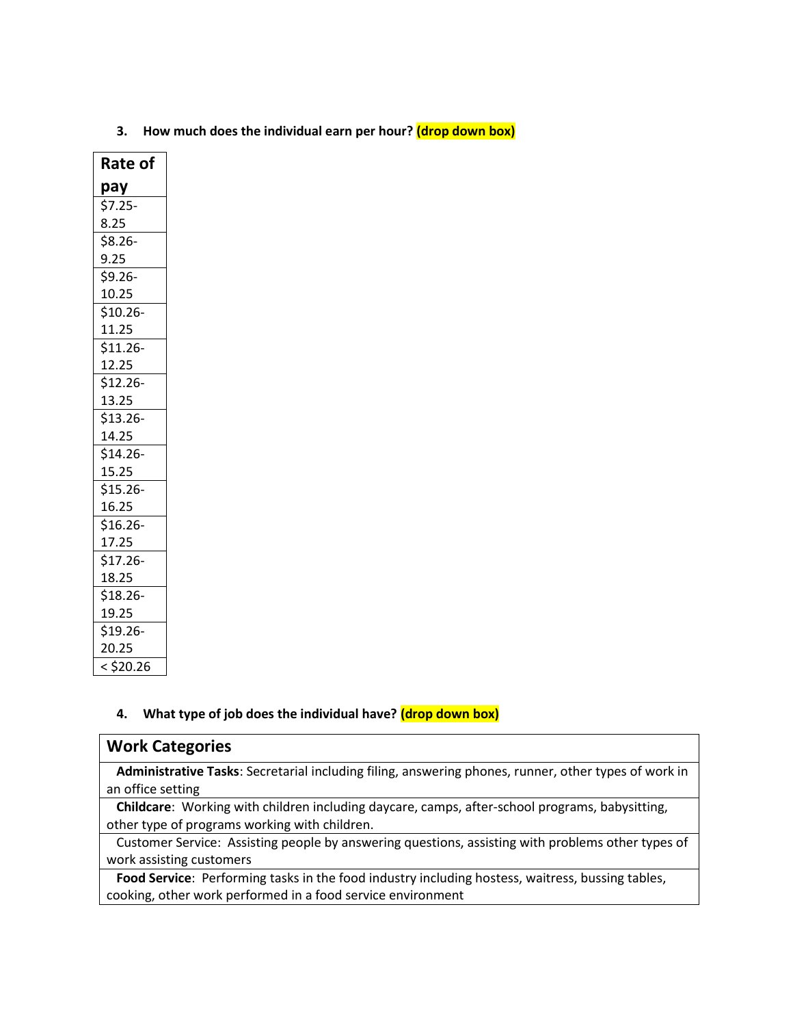| Rate of     |
|-------------|
| pay         |
| $$7.25-$    |
| 8.25        |
| \$8.26-     |
| 9.25        |
| \$9.26-     |
| 10.25       |
| \$10.26-    |
| 11.25       |
| $$11.26-$   |
| 12.25       |
| \$12.26-    |
| 13.25       |
| $$13.26-$   |
| 14.25       |
| $$14.26-$   |
| 15.25       |
| \$15.26-    |
| 16.25       |
| \$16.26-    |
| 17.25       |
| $$17.26-$   |
| 18.25       |
| \$18.26-    |
| 19.25       |
| \$19.26-    |
| 20.25       |
| $<$ \$20.26 |

**3. How much does the individual earn per hour? (drop down box)**

## **4. What type of job does the individual have? (drop down box)**

| <b>Work Categories</b>                                                                               |
|------------------------------------------------------------------------------------------------------|
| Administrative Tasks: Secretarial including filing, answering phones, runner, other types of work in |
| an office setting                                                                                    |
| Childcare: Working with children including daycare, camps, after-school programs, babysitting,       |
| other type of programs working with children.                                                        |
| Customer Service: Assisting people by answering questions, assisting with problems other types of    |
| work assisting customers                                                                             |

 **Food Service**: Performing tasks in the food industry including hostess, waitress, bussing tables, cooking, other work performed in a food service environment